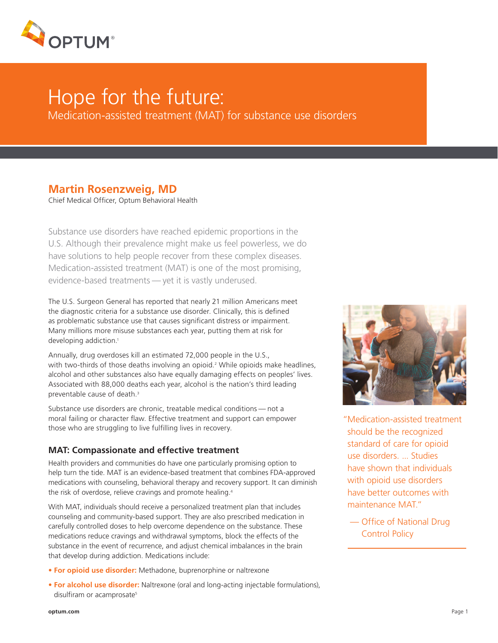

# Hope for the future:

Medication-assisted treatment (MAT) for substance use disorders

## **Martin Rosenzweig, MD**

Chief Medical Officer, Optum Behavioral Health

Substance use disorders have reached epidemic proportions in the U.S. Although their prevalence might make us feel powerless, we do have solutions to help people recover from these complex diseases. Medication-assisted treatment (MAT) is one of the most promising, evidence-based treatments — yet it is vastly underused.

The U.S. Surgeon General has reported that nearly 21 million Americans meet the diagnostic criteria for a substance use disorder. Clinically, this is defined as problematic substance use that causes significant distress or impairment. Many millions more misuse substances each year, putting them at risk for developing addiction.<sup>1</sup>

Annually, drug overdoses kill an estimated 72,000 people in the U.S., with two-thirds of those deaths involving an opioid.2 While opioids make headlines, alcohol and other substances also have equally damaging effects on peoples' lives. Associated with 88,000 deaths each year, alcohol is the nation's third leading preventable cause of death.<sup>3</sup>

Substance use disorders are chronic, treatable medical conditions — not a moral failing or character flaw. Effective treatment and support can empower those who are struggling to live fulfilling lives in recovery.

### **MAT: Compassionate and effective treatment**

Health providers and communities do have one particularly promising option to help turn the tide. MAT is an evidence-based treatment that combines FDA-approved medications with counseling, behavioral therapy and recovery support. It can diminish the risk of overdose, relieve cravings and promote healing.<sup>4</sup>

With MAT, individuals should receive a personalized treatment plan that includes counseling and community-based support. They are also prescribed medication in carefully controlled doses to help overcome dependence on the substance. These medications reduce cravings and withdrawal symptoms, block the effects of the substance in the event of recurrence, and adjust chemical imbalances in the brain that develop during addiction. Medications include:

- **For opioid use disorder:** Methadone, buprenorphine or naltrexone
- **For alcohol use disorder:** Naltrexone (oral and long-acting injectable formulations), disulfiram or acamprosate<sup>5</sup>



- "Medication-assisted treatment should be the recognized standard of care for opioid use disorders. ... Studies have shown that individuals with opioid use disorders have better outcomes with maintenance MAT."
	- Office of National Drug Control Policy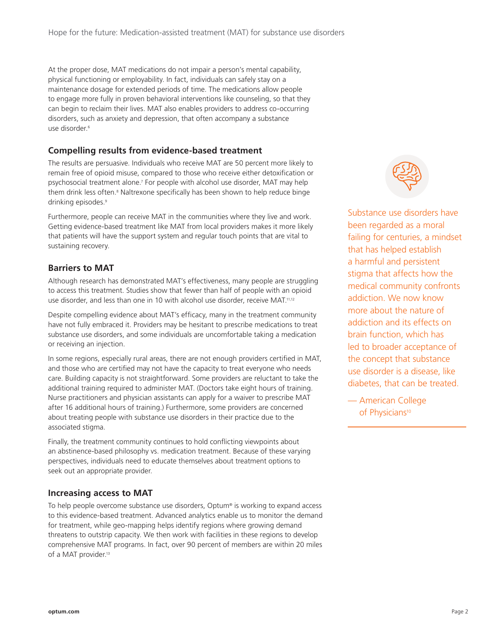At the proper dose, MAT medications do not impair a person's mental capability, physical functioning or employability. In fact, individuals can safely stay on a maintenance dosage for extended periods of time. The medications allow people to engage more fully in proven behavioral interventions like counseling, so that they can begin to reclaim their lives. MAT also enables providers to address co-occurring disorders, such as anxiety and depression, that often accompany a substance use disorder.<sup>6</sup>

#### **Compelling results from evidence-based treatment**

The results are persuasive. Individuals who receive MAT are 50 percent more likely to remain free of opioid misuse, compared to those who receive either detoxification or psychosocial treatment alone.7 For people with alcohol use disorder, MAT may help them drink less often.<sup>8</sup> Naltrexone specifically has been shown to help reduce binge drinking episodes.<sup>9</sup>

Furthermore, people can receive MAT in the communities where they live and work. Getting evidence-based treatment like MAT from local providers makes it more likely that patients will have the support system and regular touch points that are vital to sustaining recovery.

#### **Barriers to MAT**

Although research has demonstrated MAT's effectiveness, many people are struggling to access this treatment. Studies show that fewer than half of people with an opioid use disorder, and less than one in 10 with alcohol use disorder, receive MAT.11,12

Despite compelling evidence about MAT's efficacy, many in the treatment community have not fully embraced it. Providers may be hesitant to prescribe medications to treat substance use disorders, and some individuals are uncomfortable taking a medication or receiving an injection.

In some regions, especially rural areas, there are not enough providers certified in MAT, and those who are certified may not have the capacity to treat everyone who needs care. Building capacity is not straightforward. Some providers are reluctant to take the additional training required to administer MAT. (Doctors take eight hours of training. Nurse practitioners and physician assistants can apply for a waiver to prescribe MAT after 16 additional hours of training.) Furthermore, some providers are concerned about treating people with substance use disorders in their practice due to the associated stigma.

Finally, the treatment community continues to hold conflicting viewpoints about an abstinence-based philosophy vs. medication treatment. Because of these varying perspectives, individuals need to educate themselves about treatment options to seek out an appropriate provider.

#### **Increasing access to MAT**

To help people overcome substance use disorders, Optum® is working to expand access to this evidence-based treatment. Advanced analytics enable us to monitor the demand for treatment, while geo-mapping helps identify regions where growing demand threatens to outstrip capacity. We then work with facilities in these regions to develop comprehensive MAT programs. In fact, over 90 percent of members are within 20 miles of a MAT provider.<sup>13</sup>



Substance use disorders have been regarded as a moral failing for centuries, a mindset that has helped establish a harmful and persistent stigma that affects how the medical community confronts addiction. We now know more about the nature of addiction and its effects on brain function, which has led to broader acceptance of the concept that substance use disorder is a disease, like diabetes, that can be treated.

— American College of Physicians<sup>10</sup>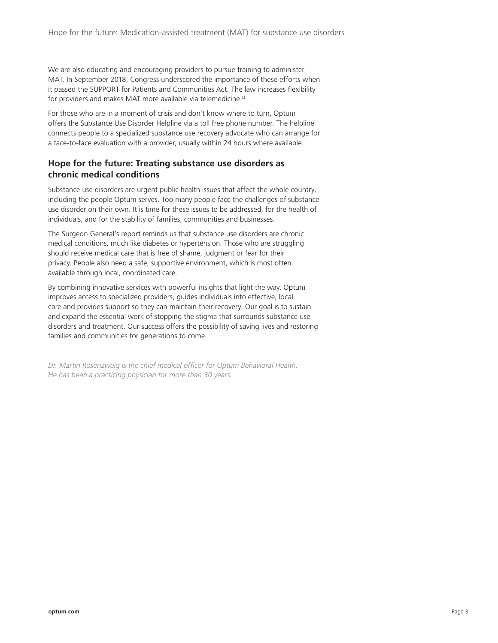We are also educating and encouraging providers to pursue training to administer MAT. In September 2018, Congress underscored the importance of these efforts when it passed the SUPPORT for Patients and Communities Act. The law increases flexibility for providers and makes MAT more available via telemedicine.<sup>14</sup>

For those who are in a moment of crisis and don't know where to turn, Optum offers the Substance Use Disorder Helpline via a toll free phone number. The helpline connects people to a specialized substance use recovery advocate who can arrange for a face-to-face evaluation with a provider, usually within 24 hours where available.

## **Hope for the future: Treating substance use disorders as chronic medical conditions**

Substance use disorders are urgent public health issues that affect the whole country, including the people Optum serves. Too many people face the challenges of substance use disorder on their own. It is time for these issues to be addressed, for the health of individuals, and for the stability of families, communities and businesses.

The Surgeon General's report reminds us that substance use disorders are chronic medical conditions, much like diabetes or hypertension. Those who are struggling should receive medical care that is free of shame, judgment or fear for their privacy. People also need a safe, supportive environment, which is most often available through local, coordinated care.

By combining innovative services with powerful insights that light the way, Optum improves access to specialized providers, guides individuals into effective, local care and provides support so they can maintain their recovery. Our goal is to sustain and expand the essential work of stopping the stigma that surrounds substance use disorders and treatment. Our success offers the possibility of saving lives and restoring families and communities for generations to come.

*Dr. Martin Rosenzweig is the chief medical officer for Optum Behavioral Health. He has been a practicing physician for more than 30 years.*